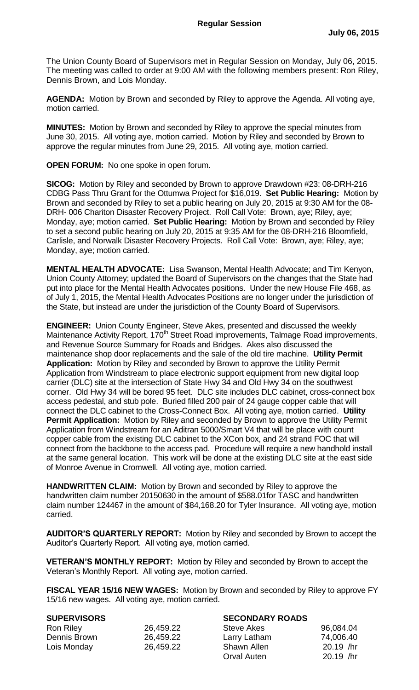The Union County Board of Supervisors met in Regular Session on Monday, July 06, 2015. The meeting was called to order at 9:00 AM with the following members present: Ron Riley, Dennis Brown, and Lois Monday.

**AGENDA:** Motion by Brown and seconded by Riley to approve the Agenda. All voting aye, motion carried.

**MINUTES:** Motion by Brown and seconded by Riley to approve the special minutes from June 30, 2015. All voting aye, motion carried. Motion by Riley and seconded by Brown to approve the regular minutes from June 29, 2015. All voting aye, motion carried.

**OPEN FORUM:** No one spoke in open forum.

**SICOG:** Motion by Riley and seconded by Brown to approve Drawdown #23: 08-DRH-216 CDBG Pass Thru Grant for the Ottumwa Project for \$16,019. **Set Public Hearing:** Motion by Brown and seconded by Riley to set a public hearing on July 20, 2015 at 9:30 AM for the 08- DRH- 006 Chariton Disaster Recovery Project. Roll Call Vote: Brown, aye; Riley, aye; Monday, aye; motion carried. **Set Public Hearing:** Motion by Brown and seconded by Riley to set a second public hearing on July 20, 2015 at 9:35 AM for the 08-DRH-216 Bloomfield, Carlisle, and Norwalk Disaster Recovery Projects. Roll Call Vote: Brown, aye; Riley, aye; Monday, aye; motion carried.

**MENTAL HEALTH ADVOCATE:** Lisa Swanson, Mental Health Advocate; and Tim Kenyon, Union County Attorney; updated the Board of Supervisors on the changes that the State had put into place for the Mental Health Advocates positions. Under the new House File 468, as of July 1, 2015, the Mental Health Advocates Positions are no longer under the jurisdiction of the State, but instead are under the jurisdiction of the County Board of Supervisors.

**ENGINEER:** Union County Engineer, Steve Akes, presented and discussed the weekly Maintenance Activity Report, 170<sup>th</sup> Street Road improvements, Talmage Road improvements, and Revenue Source Summary for Roads and Bridges. Akes also discussed the maintenance shop door replacements and the sale of the old tire machine. **Utility Permit Application:** Motion by Riley and seconded by Brown to approve the Utility Permit Application from Windstream to place electronic support equipment from new digital loop carrier (DLC) site at the intersection of State Hwy 34 and Old Hwy 34 on the southwest corner. Old Hwy 34 will be bored 95 feet. DLC site includes DLC cabinet, cross-connect box access pedestal, and stub pole. Buried filled 200 pair of 24 gauge copper cable that will connect the DLC cabinet to the Cross-Connect Box. All voting aye, motion carried. **Utility Permit Application:** Motion by Riley and seconded by Brown to approve the Utility Permit Application from Windstream for an Aditran 5000/Smart V4 that will be place with count copper cable from the existing DLC cabinet to the XCon box, and 24 strand FOC that will connect from the backbone to the access pad. Procedure will require a new handhold install at the same general location. This work will be done at the existing DLC site at the east side of Monroe Avenue in Cromwell. All voting aye, motion carried.

**HANDWRITTEN CLAIM:** Motion by Brown and seconded by Riley to approve the handwritten claim number 20150630 in the amount of \$588.01for TASC and handwritten claim number 124467 in the amount of \$84,168.20 for Tyler Insurance. All voting aye, motion carried.

**AUDITOR'S QUARTERLY REPORT:** Motion by Riley and seconded by Brown to accept the Auditor's Quarterly Report. All voting aye, motion carried.

**VETERAN'S MONTHLY REPORT:** Motion by Riley and seconded by Brown to accept the Veteran's Monthly Report. All voting aye, motion carried.

**FISCAL YEAR 15/16 NEW WAGES:** Motion by Brown and seconded by Riley to approve FY 15/16 new wages. All voting aye, motion carried.

| <b>SUPERVISORS</b> |
|--------------------|
|--------------------|

| _________________ |           | _ _ _ _ _.                  |           |
|-------------------|-----------|-----------------------------|-----------|
| <b>Ron Riley</b>  | 26,459.22 | Steve Akes                  | 96,084.04 |
| Dennis Brown      | 26,459.22 | Larry Latham                | 74,006.40 |
| Lois Monday       | 26,459.22 | Shawn Allen                 | 20.19 /hr |
|                   |           | $\sim$ $\sim$ $\sim$ $\sim$ | 00101     |

**SECONDARY ROADS** 

| <b>Steve Akes</b> | 96,084.04 |
|-------------------|-----------|
| Larry Latham      | 74,006.40 |
| Shawn Allen       | 20.19 /hr |
| Orval Auten       | 20.19 /hr |